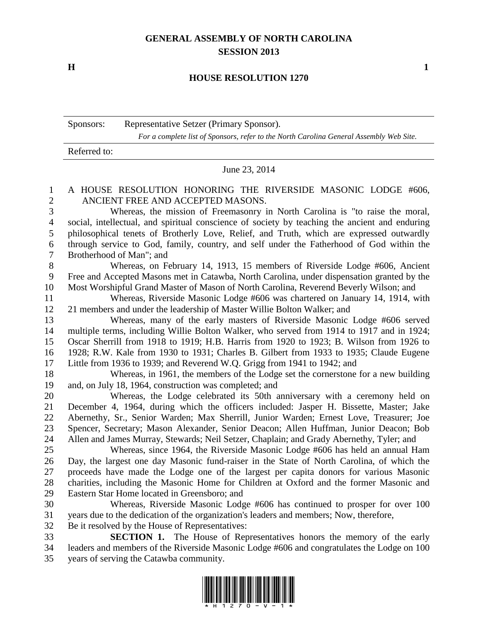## **GENERAL ASSEMBLY OF NORTH CAROLINA SESSION 2013**

**H 1**

## **HOUSE RESOLUTION 1270**

Sponsors: Representative Setzer (Primary Sponsor). *For a complete list of Sponsors, refer to the North Carolina General Assembly Web Site.*

Referred to:

June 23, 2014

## A HOUSE RESOLUTION HONORING THE RIVERSIDE MASONIC LODGE #606, ANCIENT FREE AND ACCEPTED MASONS.

 Whereas, the mission of Freemasonry in North Carolina is "to raise the moral, social, intellectual, and spiritual conscience of society by teaching the ancient and enduring philosophical tenets of Brotherly Love, Relief, and Truth, which are expressed outwardly through service to God, family, country, and self under the Fatherhood of God within the Brotherhood of Man"; and

 Whereas, on February 14, 1913, 15 members of Riverside Lodge #606, Ancient Free and Accepted Masons met in Catawba, North Carolina, under dispensation granted by the Most Worshipful Grand Master of Mason of North Carolina, Reverend Beverly Wilson; and

 Whereas, Riverside Masonic Lodge #606 was chartered on January 14, 1914, with 21 members and under the leadership of Master Willie Bolton Walker; and

 Whereas, many of the early masters of Riverside Masonic Lodge #606 served multiple terms, including Willie Bolton Walker, who served from 1914 to 1917 and in 1924; Oscar Sherrill from 1918 to 1919; H.B. Harris from 1920 to 1923; B. Wilson from 1926 to 1928; R.W. Kale from 1930 to 1931; Charles B. Gilbert from 1933 to 1935; Claude Eugene Little from 1936 to 1939; and Reverend W.Q. Grigg from 1941 to 1942; and

 Whereas, in 1961, the members of the Lodge set the cornerstone for a new building and, on July 18, 1964, construction was completed; and

 Whereas, the Lodge celebrated its 50th anniversary with a ceremony held on December 4, 1964, during which the officers included: Jasper H. Bissette, Master; Jake Abernethy, Sr., Senior Warden; Max Sherrill, Junior Warden; Ernest Love, Treasurer; Joe Spencer, Secretary; Mason Alexander, Senior Deacon; Allen Huffman, Junior Deacon; Bob Allen and James Murray, Stewards; Neil Setzer, Chaplain; and Grady Abernethy, Tyler; and

 Whereas, since 1964, the Riverside Masonic Lodge #606 has held an annual Ham Day, the largest one day Masonic fund-raiser in the State of North Carolina, of which the proceeds have made the Lodge one of the largest per capita donors for various Masonic charities, including the Masonic Home for Children at Oxford and the former Masonic and Eastern Star Home located in Greensboro; and

 Whereas, Riverside Masonic Lodge #606 has continued to prosper for over 100 years due to the dedication of the organization's leaders and members; Now, therefore,

Be it resolved by the House of Representatives:

 **SECTION 1.** The House of Representatives honors the memory of the early leaders and members of the Riverside Masonic Lodge #606 and congratulates the Lodge on 100 years of serving the Catawba community.